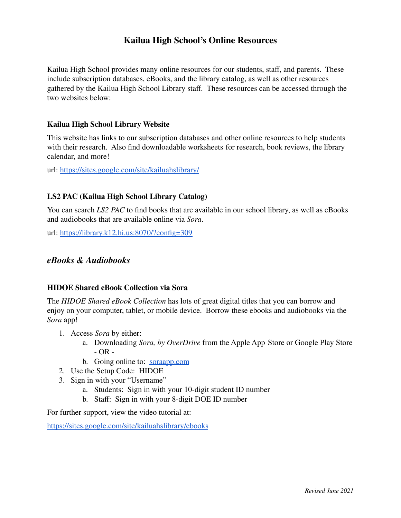# **Kailua High School's Online Resources**

Kailua High School provides many online resources for our students, staff, and parents. These include subscription databases, eBooks, and the library catalog, as well as other resources gathered by the Kailua High School Library staff. These resources can be accessed through the two websites below:

## **Kailua High School Library Website**

This website has links to our subscription databases and other online resources to help students with their research. Also find downloadable worksheets for research, book reviews, the library calendar, and more!

url: <https://sites.google.com/site/kailuahslibrary/>

### **LS2 PAC (Kailua High School Library Catalog)**

You can search *LS2 PAC* to find books that are available in our school library, as well as eBooks and audiobooks that are available online via *Sora*.

url: <https://library.k12.hi.us:8070/?config=309>

# *eBooks & Audiobooks*

#### **HIDOE Shared eBook Collection via Sora**

The *HIDOE Shared eBook Collection* has lots of great digital titles that you can borrow and enjoy on your computer, tablet, or mobile device. Borrow these ebooks and audiobooks via the *Sora* app!

- 1. Access *Sora* by either:
	- a. Downloading *Sora, by OverDrive* from the Apple App Store or Google Play Store - OR -
	- b. Going online to: [soraapp.com](https://soraapp.com/)
- 2. Use the Setup Code: HIDOE
- 3. Sign in with your "Username"
	- a. Students: Sign in with your 10-digit student ID number
	- b. Staff: Sign in with your 8-digit DOE ID number

For further support, view the video tutorial at:

<https://sites.google.com/site/kailuahslibrary/ebooks>